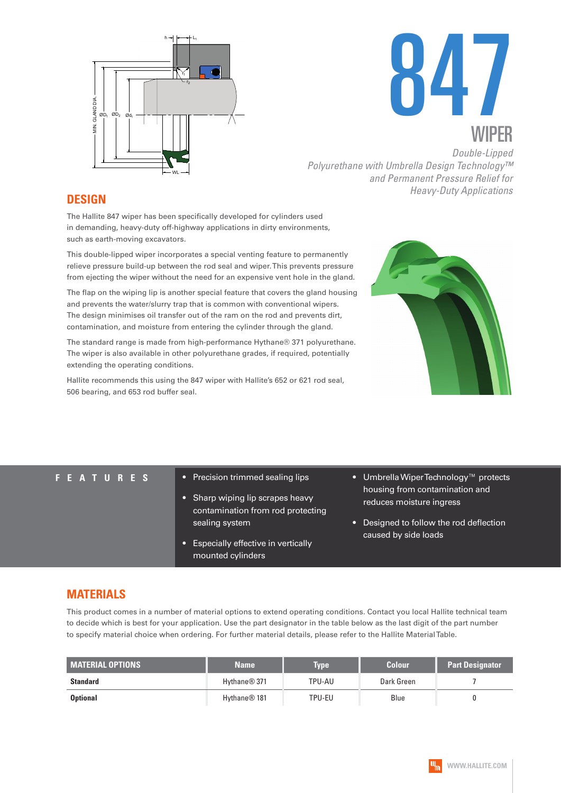



*Double-Lipped Polyurethane with Umbrella Design Technology™ and Permanent Pressure Relief for Heavy-Duty Applications* **DESIGN**

The Hallite 847 wiper has been specifically developed for cylinders used in demanding, heavy-duty off-highway applications in dirty environments, such as earth-moving excavators.

This double-lipped wiper incorporates a special venting feature to permanently relieve pressure build-up between the rod seal and wiper. This prevents pressure from ejecting the wiper without the need for an expensive vent hole in the gland.

The flap on the wiping lip is another special feature that covers the gland housing and prevents the water/slurry trap that is common with conventional wipers. The design minimises oil transfer out of the ram on the rod and prevents dirt, contamination, and moisture from entering the cylinder through the gland.

The standard range is made from high-performance Hythane® 371 polyurethane. The wiper is also available in other polyurethane grades, if required, potentially extending the operating conditions.

Hallite recommends this using the 847 wiper with Hallite's 652 or 621 rod seal, 506 bearing, and 653 rod buffer seal.



- **FEATURES** Precision trimmed sealing lips
	- Sharp wiping lip scrapes heavy contamination from rod protecting sealing system
	- Especially effective in vertically mounted cylinders
- Umbrella Wiper Technology™ protects housing from contamination and reduces moisture ingress
- Designed to follow the rod deflection caused by side loads

### **MATERIALS**

This product comes in a number of material options to extend operating conditions. Contact you local Hallite technical team to decide which is best for your application. Use the part designator in the table below as the last digit of the part number to specify material choice when ordering. For further material details, please refer to the Hallite Material Table.

| <b>MATERIAL OPTIONS</b> | <b>Name</b>              | <b>Type</b> | <b>Colour</b> | <b>Part Designator</b> |
|-------------------------|--------------------------|-------------|---------------|------------------------|
| <b>Standard</b>         | Hythane <sup>®</sup> 371 | TPU-AU      | Dark Green    |                        |
| <b>Optional</b>         | Hythane <sup>®</sup> 181 | TPU-EU      | Blue          |                        |

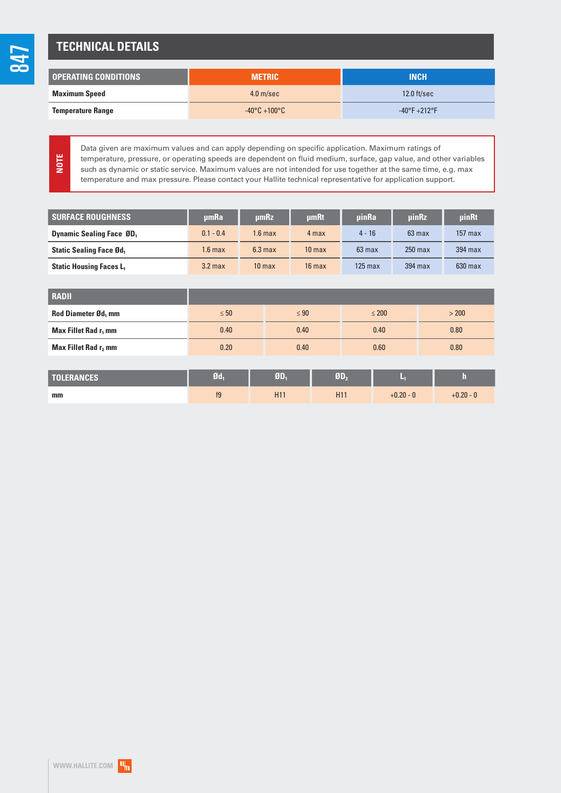# **TECHNICAL DETAILS**

| <b>LOPERATING CONDITIONS</b> | <b>METRIC</b>                     | <b>INCH</b>                   |
|------------------------------|-----------------------------------|-------------------------------|
| <b>Maximum Speed</b>         | 4.0 <sub>m/sec</sub>              | $12.0$ ft/sec                 |
| <b>Temperature Range</b>     | $-40^{\circ}$ C +100 $^{\circ}$ C | $-40^{\circ}F + 212^{\circ}F$ |

**NOTE**

Data given are maximum values and can apply depending on specific application. Maximum ratings of temperature, pressure, or operating speeds are dependent on fluid medium, surface, gap value, and other variables such as dynamic or static service. Maximum values are not intended for use together at the same time, e.g. max temperature and max pressure. Please contact your Hallite technical representative for application support.

| <b>SURFACE ROUGHNESS</b>         | umRa               | umRz               | umRt              | uinRa     | uinRz     | <b>uinRt</b> |
|----------------------------------|--------------------|--------------------|-------------------|-----------|-----------|--------------|
| <b>Dynamic Sealing Face ØD</b> , | $0.1 - 0.4$        | $1.6 \text{ max}$  | 4 max             | $4 - 16$  | $63$ max  | $157$ max    |
| <b>Static Sealing Face Ød,</b>   | 1.6 max            | 6.3 <sub>max</sub> | 10 <sub>max</sub> | $63$ max  | $250$ max | 394 max      |
| <b>Static Housing Faces L.</b>   | 3.2 <sub>max</sub> | 10 <sub>max</sub>  | $16$ max          | $125$ max | 394 max   | $630$ max    |

| <b>RADII</b>                     |           |           |            |       |
|----------------------------------|-----------|-----------|------------|-------|
| <b>Rod Diameter Ød, mm</b>       | $\leq 50$ | $\leq 90$ | $\leq 200$ | > 200 |
| Max Fillet Rad r <sub>1</sub> mm | 0.40      | 0.40      | 0.40       | 0.80  |
| Max Fillet Rad r, mm             | 0.20      | 0.40      | 0.60       | 0.80  |

| <b>TOLERANCES</b> | $\mathfrak{gd}_{1}$ | ØD, | T               |             | ш           |
|-------------------|---------------------|-----|-----------------|-------------|-------------|
| mm                | f <sub>9</sub>      | H1  | H <sub>11</sub> | $+0.20 - 0$ | $+0.20 - 0$ |